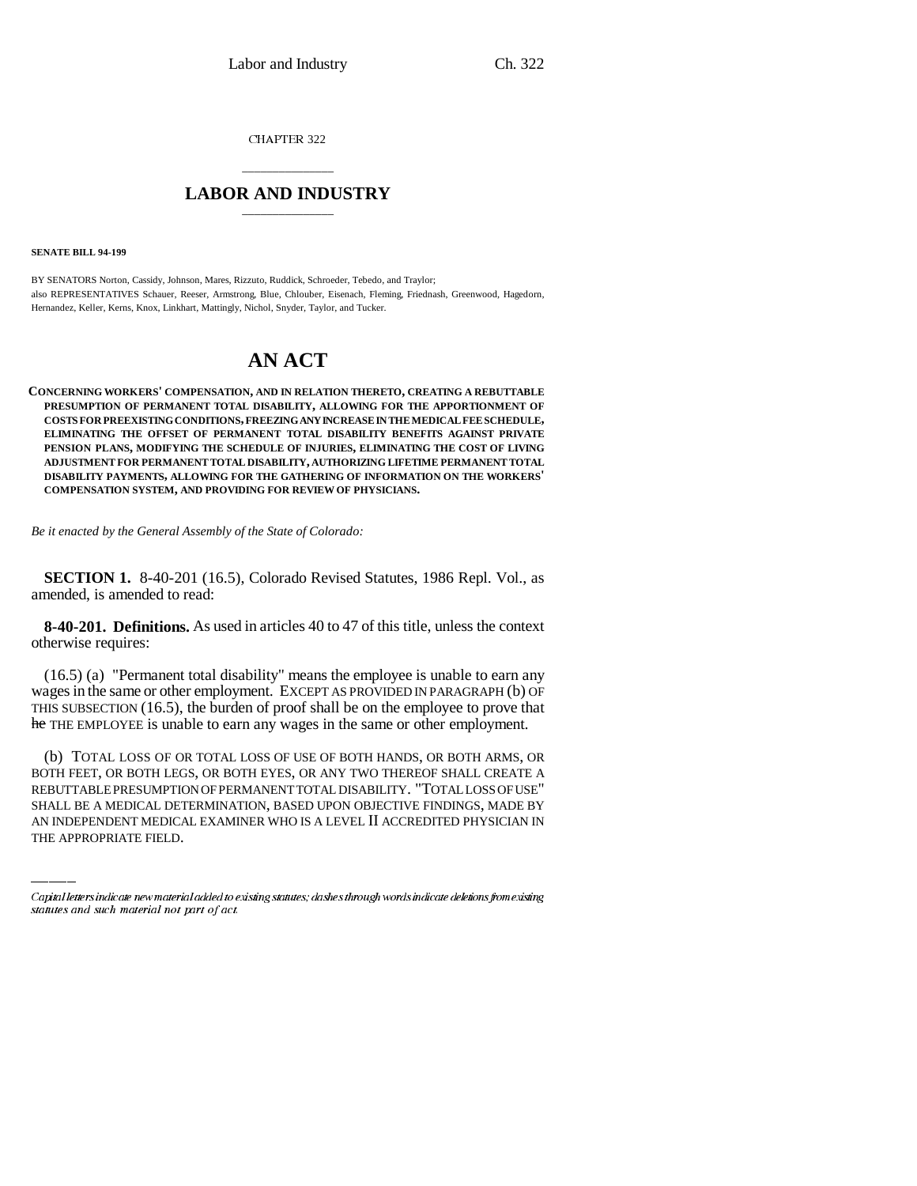CHAPTER 322

## \_\_\_\_\_\_\_\_\_\_\_\_\_\_\_ **LABOR AND INDUSTRY** \_\_\_\_\_\_\_\_\_\_\_\_\_\_\_

**SENATE BILL 94-199**

BY SENATORS Norton, Cassidy, Johnson, Mares, Rizzuto, Ruddick, Schroeder, Tebedo, and Traylor; also REPRESENTATIVES Schauer, Reeser, Armstrong, Blue, Chlouber, Eisenach, Fleming, Friednash, Greenwood, Hagedorn, Hernandez, Keller, Kerns, Knox, Linkhart, Mattingly, Nichol, Snyder, Taylor, and Tucker.

## **AN ACT**

**CONCERNING WORKERS' COMPENSATION, AND IN RELATION THERETO, CREATING A REBUTTABLE PRESUMPTION OF PERMANENT TOTAL DISABILITY, ALLOWING FOR THE APPORTIONMENT OF COSTS FOR PREEXISTING CONDITIONS, FREEZING ANY INCREASE IN THE MEDICAL FEE SCHEDULE, ELIMINATING THE OFFSET OF PERMANENT TOTAL DISABILITY BENEFITS AGAINST PRIVATE PENSION PLANS, MODIFYING THE SCHEDULE OF INJURIES, ELIMINATING THE COST OF LIVING ADJUSTMENT FOR PERMANENT TOTAL DISABILITY, AUTHORIZING LIFETIME PERMANENT TOTAL DISABILITY PAYMENTS, ALLOWING FOR THE GATHERING OF INFORMATION ON THE WORKERS' COMPENSATION SYSTEM, AND PROVIDING FOR REVIEW OF PHYSICIANS.**

*Be it enacted by the General Assembly of the State of Colorado:*

**SECTION 1.** 8-40-201 (16.5), Colorado Revised Statutes, 1986 Repl. Vol., as amended, is amended to read:

**8-40-201. Definitions.** As used in articles 40 to 47 of this title, unless the context otherwise requires:

(16.5) (a) "Permanent total disability" means the employee is unable to earn any wages in the same or other employment. EXCEPT AS PROVIDED IN PARAGRAPH (b) OF THIS SUBSECTION (16.5), the burden of proof shall be on the employee to prove that he THE EMPLOYEE is unable to earn any wages in the same or other employment.

BOTH FEET, OR BOTH LEGS, OR BOTH EYES, OR ANY TWO THEREOF SHALL CREATE A (b) TOTAL LOSS OF OR TOTAL LOSS OF USE OF BOTH HANDS, OR BOTH ARMS, OR REBUTTABLE PRESUMPTION OF PERMANENT TOTAL DISABILITY. "TOTAL LOSS OF USE" SHALL BE A MEDICAL DETERMINATION, BASED UPON OBJECTIVE FINDINGS, MADE BY AN INDEPENDENT MEDICAL EXAMINER WHO IS A LEVEL II ACCREDITED PHYSICIAN IN THE APPROPRIATE FIELD.

Capital letters indicate new material added to existing statutes; dashes through words indicate deletions from existing statutes and such material not part of act.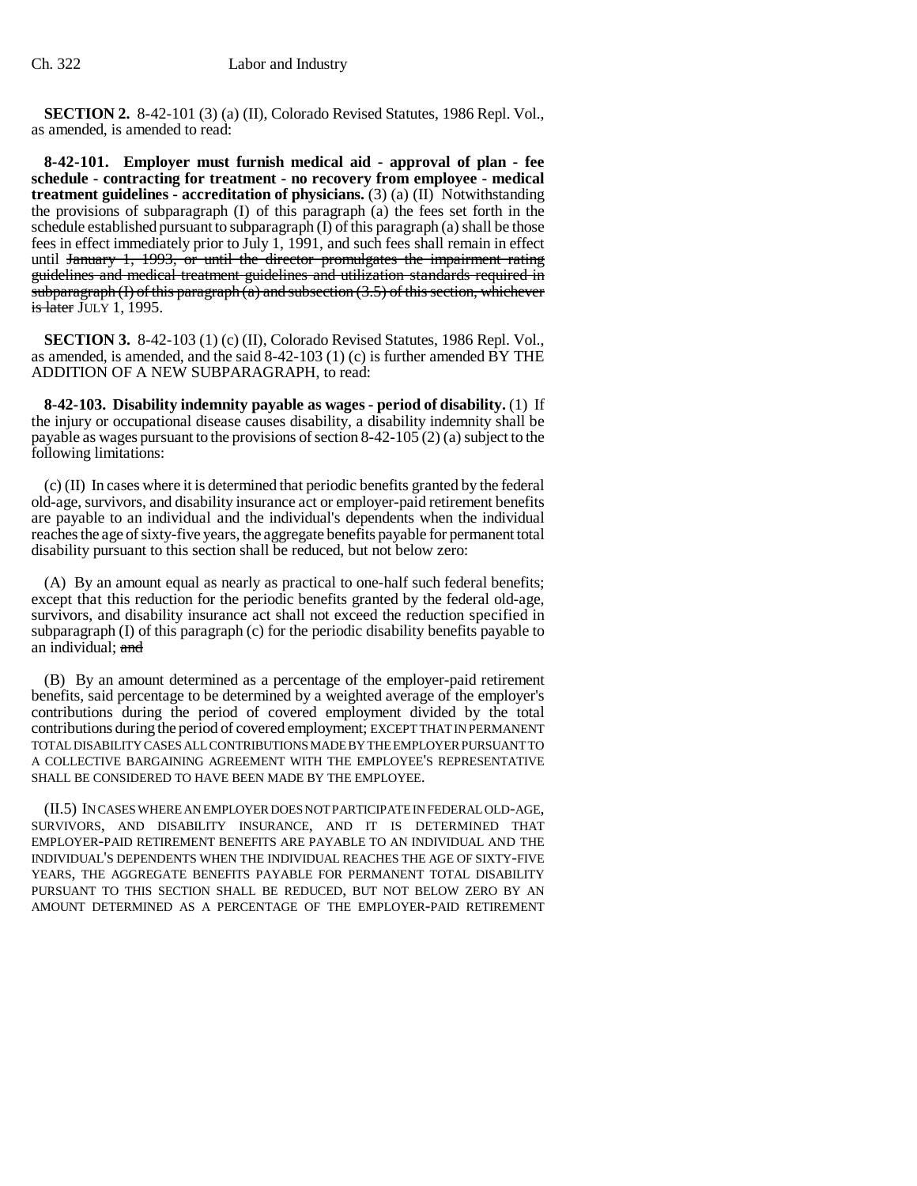**SECTION 2.** 8-42-101 (3) (a) (II), Colorado Revised Statutes, 1986 Repl. Vol., as amended, is amended to read:

**8-42-101. Employer must furnish medical aid - approval of plan - fee schedule - contracting for treatment - no recovery from employee - medical treatment guidelines - accreditation of physicians.** (3) (a) (II) Notwithstanding the provisions of subparagraph (I) of this paragraph (a) the fees set forth in the schedule established pursuant to subparagraph (I) of this paragraph (a) shall be those fees in effect immediately prior to July 1, 1991, and such fees shall remain in effect until January 1, 1993, or until the director promulgates the impairment rating guidelines and medical treatment guidelines and utilization standards required in subparagraph (I) of this paragraph (a) and subsection  $(3.5)$  of this section, whichever **is later JULY 1, 1995.** 

**SECTION 3.** 8-42-103 (1) (c) (II), Colorado Revised Statutes, 1986 Repl. Vol., as amended, is amended, and the said 8-42-103 (1) (c) is further amended BY THE ADDITION OF A NEW SUBPARAGRAPH, to read:

**8-42-103. Disability indemnity payable as wages - period of disability.** (1) If the injury or occupational disease causes disability, a disability indemnity shall be payable as wages pursuant to the provisions of section 8-42-105 (2) (a) subject to the following limitations:

(c) (II) In cases where it is determined that periodic benefits granted by the federal old-age, survivors, and disability insurance act or employer-paid retirement benefits are payable to an individual and the individual's dependents when the individual reaches the age of sixty-five years, the aggregate benefits payable for permanent total disability pursuant to this section shall be reduced, but not below zero:

(A) By an amount equal as nearly as practical to one-half such federal benefits; except that this reduction for the periodic benefits granted by the federal old-age, survivors, and disability insurance act shall not exceed the reduction specified in subparagraph (I) of this paragraph (c) for the periodic disability benefits payable to an individual; and

(B) By an amount determined as a percentage of the employer-paid retirement benefits, said percentage to be determined by a weighted average of the employer's contributions during the period of covered employment divided by the total contributions during the period of covered employment; EXCEPT THAT IN PERMANENT TOTAL DISABILITY CASES ALL CONTRIBUTIONS MADE BY THE EMPLOYER PURSUANT TO A COLLECTIVE BARGAINING AGREEMENT WITH THE EMPLOYEE'S REPRESENTATIVE SHALL BE CONSIDERED TO HAVE BEEN MADE BY THE EMPLOYEE.

(II.5) IN CASES WHERE AN EMPLOYER DOES NOT PARTICIPATE IN FEDERAL OLD-AGE, SURVIVORS, AND DISABILITY INSURANCE, AND IT IS DETERMINED THAT EMPLOYER-PAID RETIREMENT BENEFITS ARE PAYABLE TO AN INDIVIDUAL AND THE INDIVIDUAL'S DEPENDENTS WHEN THE INDIVIDUAL REACHES THE AGE OF SIXTY-FIVE YEARS, THE AGGREGATE BENEFITS PAYABLE FOR PERMANENT TOTAL DISABILITY PURSUANT TO THIS SECTION SHALL BE REDUCED, BUT NOT BELOW ZERO BY AN AMOUNT DETERMINED AS A PERCENTAGE OF THE EMPLOYER-PAID RETIREMENT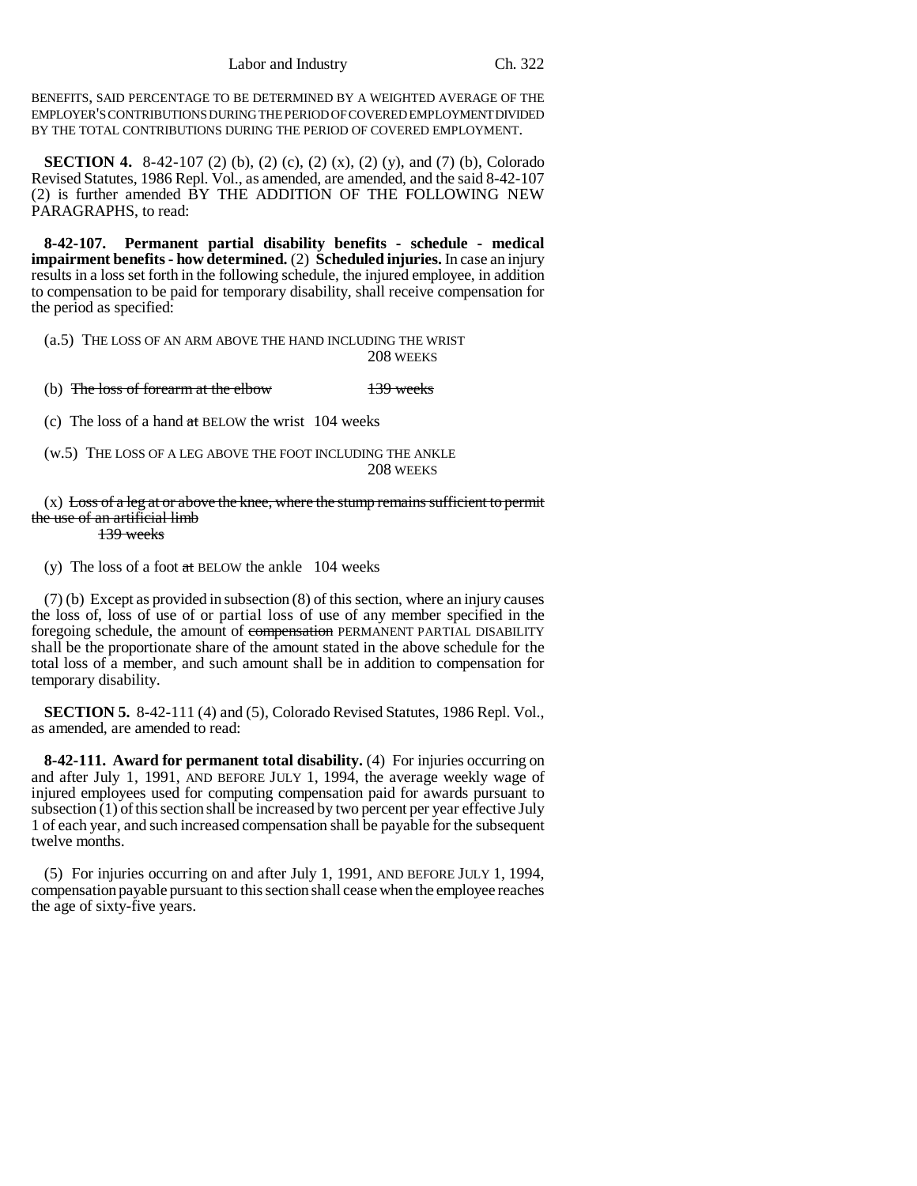BENEFITS, SAID PERCENTAGE TO BE DETERMINED BY A WEIGHTED AVERAGE OF THE EMPLOYER'S CONTRIBUTIONS DURING THE PERIOD OF COVERED EMPLOYMENT DIVIDED BY THE TOTAL CONTRIBUTIONS DURING THE PERIOD OF COVERED EMPLOYMENT.

**SECTION 4.** 8-42-107 (2) (b), (2) (c), (2) (x), (2) (y), and (7) (b), Colorado Revised Statutes, 1986 Repl. Vol., as amended, are amended, and the said 8-42-107 (2) is further amended BY THE ADDITION OF THE FOLLOWING NEW PARAGRAPHS, to read:

**8-42-107. Permanent partial disability benefits - schedule - medical impairment benefits - how determined.** (2) **Scheduled injuries.** In case an injury results in a loss set forth in the following schedule, the injured employee, in addition to compensation to be paid for temporary disability, shall receive compensation for the period as specified:

(a.5) THE LOSS OF AN ARM ABOVE THE HAND INCLUDING THE WRIST 208 WEEKS

(b) The loss of forearm at the elbow 139 weeks

(c) The loss of a hand  $at$  BELOW the wrist 104 weeks

(w.5) THE LOSS OF A LEG ABOVE THE FOOT INCLUDING THE ANKLE 208 WEEKS

 $(x)$  Loss of a leg at or above the knee, where the stump remains sufficient to permit the use of an artificial limb 139 weeks

(y) The loss of a foot  $at$  BELOW the ankle 104 weeks

(7) (b) Except as provided in subsection (8) of this section, where an injury causes the loss of, loss of use of or partial loss of use of any member specified in the foregoing schedule, the amount of compensation PERMANENT PARTIAL DISABILITY shall be the proportionate share of the amount stated in the above schedule for the total loss of a member, and such amount shall be in addition to compensation for temporary disability.

**SECTION 5.** 8-42-111 (4) and (5), Colorado Revised Statutes, 1986 Repl. Vol., as amended, are amended to read:

**8-42-111. Award for permanent total disability.** (4) For injuries occurring on and after July 1, 1991, AND BEFORE JULY 1, 1994, the average weekly wage of injured employees used for computing compensation paid for awards pursuant to subsection (1) of this section shall be increased by two percent per year effective July 1 of each year, and such increased compensation shall be payable for the subsequent twelve months.

(5) For injuries occurring on and after July 1, 1991, AND BEFORE JULY 1, 1994, compensation payable pursuant to this section shall cease when the employee reaches the age of sixty-five years.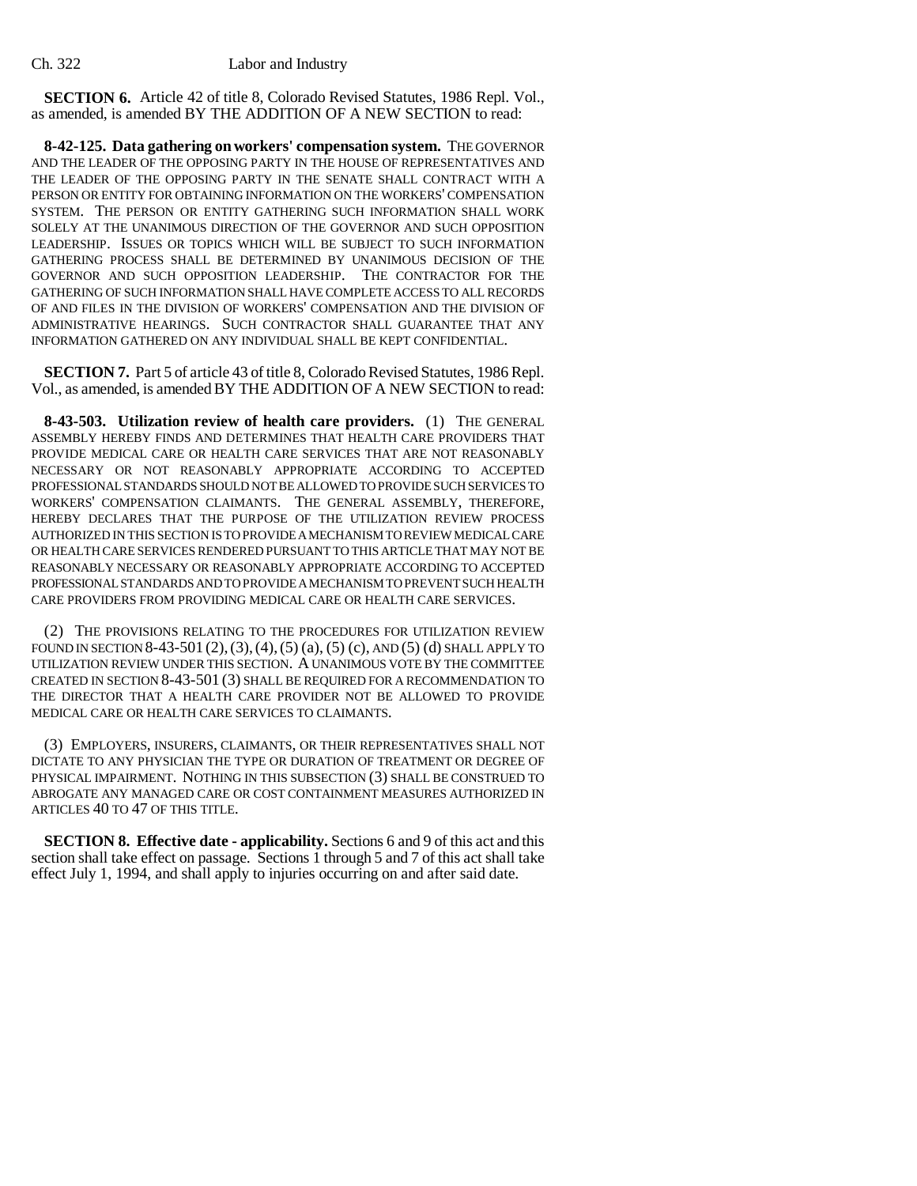**SECTION 6.** Article 42 of title 8, Colorado Revised Statutes, 1986 Repl. Vol., as amended, is amended BY THE ADDITION OF A NEW SECTION to read:

**8-42-125. Data gathering on workers' compensation system.** THE GOVERNOR AND THE LEADER OF THE OPPOSING PARTY IN THE HOUSE OF REPRESENTATIVES AND THE LEADER OF THE OPPOSING PARTY IN THE SENATE SHALL CONTRACT WITH A PERSON OR ENTITY FOR OBTAINING INFORMATION ON THE WORKERS' COMPENSATION SYSTEM. THE PERSON OR ENTITY GATHERING SUCH INFORMATION SHALL WORK SOLELY AT THE UNANIMOUS DIRECTION OF THE GOVERNOR AND SUCH OPPOSITION LEADERSHIP. ISSUES OR TOPICS WHICH WILL BE SUBJECT TO SUCH INFORMATION GATHERING PROCESS SHALL BE DETERMINED BY UNANIMOUS DECISION OF THE GOVERNOR AND SUCH OPPOSITION LEADERSHIP. THE CONTRACTOR FOR THE GATHERING OF SUCH INFORMATION SHALL HAVE COMPLETE ACCESS TO ALL RECORDS OF AND FILES IN THE DIVISION OF WORKERS' COMPENSATION AND THE DIVISION OF ADMINISTRATIVE HEARINGS. SUCH CONTRACTOR SHALL GUARANTEE THAT ANY INFORMATION GATHERED ON ANY INDIVIDUAL SHALL BE KEPT CONFIDENTIAL.

**SECTION 7.** Part 5 of article 43 of title 8, Colorado Revised Statutes, 1986 Repl. Vol., as amended, is amended BY THE ADDITION OF A NEW SECTION to read:

**8-43-503. Utilization review of health care providers.** (1) THE GENERAL ASSEMBLY HEREBY FINDS AND DETERMINES THAT HEALTH CARE PROVIDERS THAT PROVIDE MEDICAL CARE OR HEALTH CARE SERVICES THAT ARE NOT REASONABLY NECESSARY OR NOT REASONABLY APPROPRIATE ACCORDING TO ACCEPTED PROFESSIONAL STANDARDS SHOULD NOT BE ALLOWED TO PROVIDE SUCH SERVICES TO WORKERS' COMPENSATION CLAIMANTS. THE GENERAL ASSEMBLY, THEREFORE, HEREBY DECLARES THAT THE PURPOSE OF THE UTILIZATION REVIEW PROCESS AUTHORIZED IN THIS SECTION IS TO PROVIDE A MECHANISM TO REVIEW MEDICAL CARE OR HEALTH CARE SERVICES RENDERED PURSUANT TO THIS ARTICLE THAT MAY NOT BE REASONABLY NECESSARY OR REASONABLY APPROPRIATE ACCORDING TO ACCEPTED PROFESSIONAL STANDARDS AND TO PROVIDE A MECHANISM TO PREVENT SUCH HEALTH CARE PROVIDERS FROM PROVIDING MEDICAL CARE OR HEALTH CARE SERVICES.

(2) THE PROVISIONS RELATING TO THE PROCEDURES FOR UTILIZATION REVIEW FOUND IN SECTION 8-43-501 (2), (3), (4), (5) (a), (5) (c), AND (5) (d) SHALL APPLY TO UTILIZATION REVIEW UNDER THIS SECTION. A UNANIMOUS VOTE BY THE COMMITTEE CREATED IN SECTION 8-43-501 (3) SHALL BE REQUIRED FOR A RECOMMENDATION TO THE DIRECTOR THAT A HEALTH CARE PROVIDER NOT BE ALLOWED TO PROVIDE MEDICAL CARE OR HEALTH CARE SERVICES TO CLAIMANTS.

(3) EMPLOYERS, INSURERS, CLAIMANTS, OR THEIR REPRESENTATIVES SHALL NOT DICTATE TO ANY PHYSICIAN THE TYPE OR DURATION OF TREATMENT OR DEGREE OF PHYSICAL IMPAIRMENT. NOTHING IN THIS SUBSECTION (3) SHALL BE CONSTRUED TO ABROGATE ANY MANAGED CARE OR COST CONTAINMENT MEASURES AUTHORIZED IN ARTICLES 40 TO 47 OF THIS TITLE.

**SECTION 8. Effective date - applicability.** Sections 6 and 9 of this act and this section shall take effect on passage. Sections 1 through 5 and 7 of this act shall take effect July 1, 1994, and shall apply to injuries occurring on and after said date.